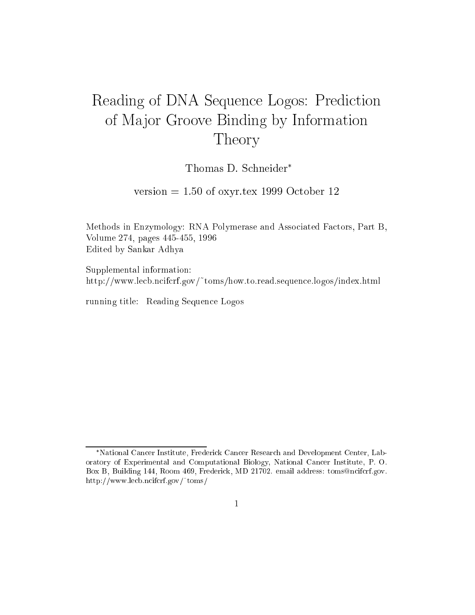# Reading of DNA Sequence Logos: Prediction of Major Groove Binding by Information Theory

Thomas D. Schneider\*

version  $= 1.50$  of oxyr.tex 1999 October 12

Methods in Enzymology: RNA Polymerase and Associated Factors, Part B, Volume 274, pages 445-455, 1996 Edited by Sankar Adhya

Supplemental information: http://www.lecb.ncifcrf.gov/~toms/how.to.read.sequence.logos/index.html

running title: Reading Sequen
e Logos

National Can
er Institute, Frederi
k Can
er Resear
h and Development Center, Laboratory of Experimental and Computational Biology, National Can
er Institute, P. O. Box B, Building 144, Room 469, Frederi
k, MD 21702. email address: tomsn
if
rf.gov. http://www.lecb.ncifcrf.gov/~toms/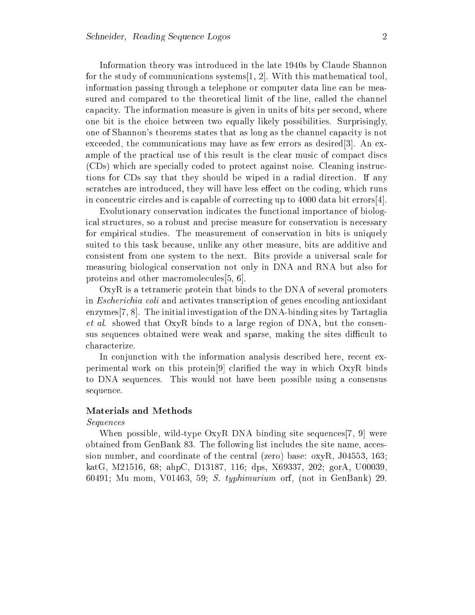Information theory was introduced in the late 1940s by Claude Shannon for the study of communications systems  $[1, 2]$ . With this mathematical tool, information passing through a telephone or omputer data line an be measured and ompared to the theoreti
al limit of the line, alled the hannel apa
ity. The information measure is given in units of bits per se
ond, where one bit is the hoi
e between two equally likely possibilities. Surprisingly, one of Shannon's theorems states that as long as the channel capacity is not exceeded, the communications may have as few errors as desired [3]. An example of the practical use of this result is the clear music of compact discs (CDs) whi
h are spe
ially oded to prote
t against noise. Cleaning instru
 tions for CDs say that they should be wiped in a radial dire
tion. If any scratches are introduced, they will have less effect on the coding, which runs in concentric circles and is capable of correcting up to 4000 data bit errors[4].

Evolutionary onservation indi
ates the fun
tional importan
e of biologi
al stru
tures, so a robust and pre
ise measure for onservation is ne
essary for empiri
al studies. The measurement of onservation in bits is uniquely suited to this task because, unlike any other measure, bits are additive and onsistent from one system to the next. Bits provide a universal s
ale for measuring biologi
al onservation not only in DNA and RNA but also for proteins and other macromolecules  $[5, 6]$ .

 $OxyR$  is a tetrameric protein that binds to the DNA of several promoters in *Escherichia coli* and activates transcription of genes encoding antioxidant  $enzymes[7, 8]$ . The initial investigation of the DNA-binding sites by Tartaglia et al. showed that OxyR binds to a large region of DNA, but the consensus sequences obtained were weak and sparse, making the sites difficult to hara
terize.

In conjunction with the information analysis described here, recent experimental work on this protein [9] clarified the way in which  $OxyR$  binds to DNA sequences. This would not have been possible using a consensus sequence.

### Materials and Methods

#### *Sequences*

When possible, wild-type  $OxyR$  DNA binding site sequences [7, 9] were obtained from GenBank 83. The following list includes the site name, accession number, and oordinate of the entral (zero) base: oxyR, J04553, 163; katG, M21516, 68; ahpC, D13187, 116; dps, X69337, 202; gorA, U00039, 60491; Mu mom, V01463, 59; S. typhimurium orf, (not in GenBank) 29.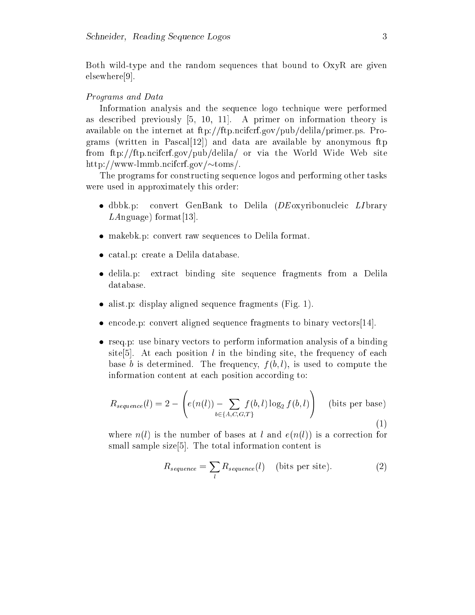Both wild-type and the random sequences that bound to OxyR are given elsewhere[9].

# *Programs and Data*

Information analysis and the sequence logo technique were performed as described previously  $[5, 10, 11]$ . A primer on information theory is available on the internet at ftp://ftp.ncifcrf.gov/pub/delila/primer.ps. Programs (written in Pascal $[12]$ ) and data are available by anonymous ftp from ftp://ftp.ncifcrf.gov/pub/delila/ or via the World Wide Web site http://www-lmmb.ncifcrf.gov/ $\sim$ toms/.

The programs for constructing sequence logos and performing other tasks were used in approximately this order:

- $\bullet$  dbbk.p: convert GenBank to Delila (DE oxyribonucleic LIbrary  $L$ Anguage) format[13].
- makebk.p: convert raw sequences to Delila format.
- catal.p: create a Delila database.
- extract binding site sequence fragments from a Delila  $\bullet$  delila.p: database.
- alist.p: display aligned sequence fragments (Fig. 1).
- encode.p: convert aligned sequence fragments to binary vectors  $14$ .
- rseq.p: use binary vectors to perform information analysis of a binding site<sup>[5]</sup>. At each position l in the binding site, the frequency of each base b is determined. The frequency,  $f(b, l)$ , is used to compute the information content at each position according to:

$$
R_{sequence}(l) = 2 - \left(e(n(l)) - \sum_{b \in \{A, C, G, T\}} f(b, l) \log_2 f(b, l)\right) \quad \text{(bits per base)}
$$
\n
$$
(1)
$$

where  $n(l)$  is the number of bases at l and  $e(n(l))$  is a correction for small sample size<sup>[5]</sup>. The total information content is

$$
R_{sequence} = \sum_{l} R_{sequence}(l) \quad \text{(bits per site)}.
$$
 (2)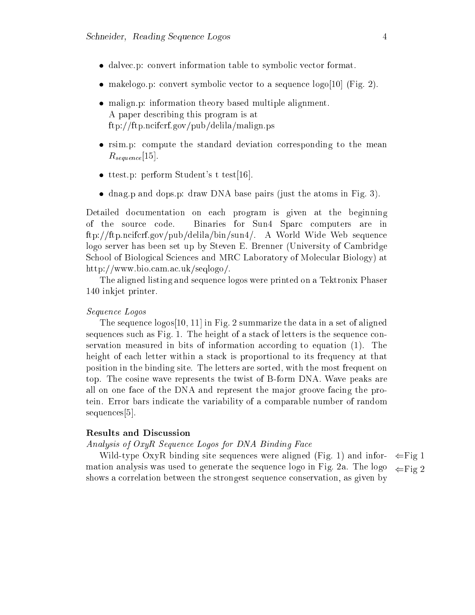- dalvec.p: convert information table to symbolic vector format.
- makelogo.p: convert symbolic vector to a sequence  $log[10]$  (Fig. 2).
- malign.p: information theory based multiple alignment. A paper describing this program is at  $ftp://ftp.nciferf.gov/pub/delila/malign.ps$
- rsim.p: compute the standard deviation corresponding to the mean  $R_{sequence}$ [15].
- $\bullet$  ttest.p: perform Student's t test[16].
- dnag.p and dops.p: draw DNA base pairs (just the atoms in Fig. 3).

Detailed documentation on each program is given at the beginning of the source code. Binaries for Sun4 Sparc computers are in ftp://ftp.ncifcrf.gov/pub/delila/bin/sun4/. A World Wide Web sequence logo server has been set up by Steven E. Brenner (University of Cambridge School of Biological Sciences and MRC Laboratory of Molecular Biology) at http://www.bio.cam.ac.uk/seqlogo/.

The aligned listing and sequence logos were printed on a Tektronix Phaser 140 inkjet printer.

# *Sequence Logos*

The sequence  $\log_{10}$  [10, 11] in Fig. 2 summarize the data in a set of aligned sequences such as Fig. 1. The height of a stack of letters is the sequence conservation measured in bits of information according to equation  $(1)$ . The height of each letter within a stack is proportional to its frequency at that position in the binding site. The letters are sorted, with the most frequent on top. The cosine wave represents the twist of B-form DNA. Wave peaks are all on one face of the DNA and represent the major groove facing the protein. Error bars indicate the variability of a comparable number of random  $sequences[5]$ .

# **Results and Discussion**

#### Analysis of OxyR Sequence Logos for DNA Binding Face

Wild-type OxyR binding site sequences were aligned (Fig. 1) and infor-  $\Leftarrow$  Fig 1 mation analysis was used to generate the sequence logo in Fig. 2a. The logo  $\Leftarrow$ Fig 2 shows a correlation between the strongest sequence conservation, as given by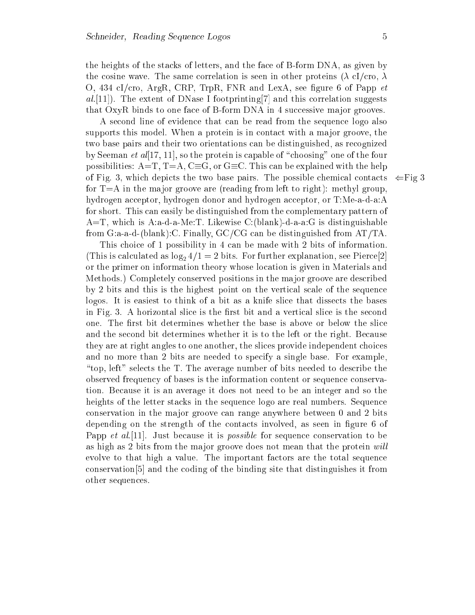the heights of the sta
ks of letters, and the fa
e of B-form DNA, as given by the cosine wave. The same correlation is seen in other proteins  $(\lambda \text{ cl/cro}, \lambda)$ O,  $434 \text{ cl/cro}$ , ArgR, CRP, TrpR, FNR and LexA, see figure 6 of Papp *et*  $al[11]$ . The extent of DNase I footprinting [7] and this correlation suggests that OxyR binds to one face of B-form DNA in 4 successive major grooves.

A second line of evidence that can be read from the sequence logo also supports this model. When a protein is in contact with a major groove, the two base pairs and their two orientations an be distinguished, as re
ognized by Seeman *et al*<sup>[17, 11], so the protein is capable of "choosing" one of the four</sup> possibilities:  $A=T$ ,  $T=A$ ,  $C\equiv G$ , or  $G\equiv C$ . This can be explained with the help of Fig. 3, which depicts the two base pairs. The possible chemical contacts  $\Leftarrow$  Fig 3 for  $T=A$  in the major groove are (reading from left to right): methyl group, hydrogen acceptor, hydrogen donor and hydrogen acceptor, or T:Me-a-d-a:A for short. This an easily be distinguished from the omplementary pattern of A=T, whi
h is A:a-d-a-Me:T. Likewise C:(blank)-d-a-a:G is distinguishable from G:a-a-d-(blank):C. Finally, GC/CG an be distinguished from AT/TA.

This choice of 1 possibility in 4 can be made with 2 bits of information. (This is calculated as  $\log_2 4/1 = 2$  bits. For further explanation, see Pierce[2] or the primer on information theory whose location is given in Materials and Methods.) Completely onserved positions in the major groove are des
ribed by 2 bits and this is the highest point on the vertical scale of the sequence logos. It is easiest to think of a bit as a knife slice that dissects the bases in Fig. 3. A horizontal slice is the first bit and a vertical slice is the second one. The first bit determines whether the base is above or below the slice and the se
ond bit determines whether it is to the left or the right. Be
ause they are at right angles to one another, the slices provide independent choices and no more than 2 bits are needed to spe
ify a single base. For example, "top, left" selects the T. The average number of bits needed to describe the observed frequen
y of bases is the information ontent or sequen
e onservation. Be
ause it is an average it does not need to be an integer and so the heights of the letter stacks in the sequence logo are real numbers. Sequence onservation in the major groove an range anywhere between 0 and 2 bits depending on the strength of the contacts involved, as seen in figure 6 of Papp et al. [11]. Just because it is *possible* for sequence conservation to be as high as 2 bits from the major groove does not mean that the protein will evolve to that high a value. The important factors are the total sequence  $\alpha$  conservation  $\beta$  and the coding of the binding site that distinguishes it from other sequen
es.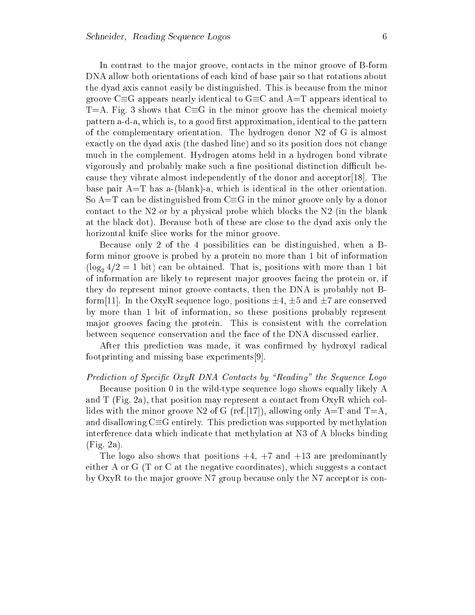In contrast to the major groove, contacts in the minor groove of B-form DNA allow both orientations of each kind of base pair so that rotations about the dyad axis annot easily be distinguished. This is be
ause from the minor groove  $C \equiv G$  appears nearly identical to  $G \equiv C$  and  $A = T$  appears identical to T=A. Fig. 3 shows that  $C \equiv G$  in the minor groove has the chemical moiety pattern a-d-a, which is, to a good first approximation, identical to the pattern of the omplementary orientation. The hydrogen donor N2 of G is almost exa
tly on the dyad axis (the dashed line) and so its position does not hange mu
h in the omplement. Hydrogen atoms held in a hydrogen bond vibrate vigorously and probably make such a fine positional distinction difficult because they vibrate almost independently of the donor and acceptor  $[18]$ . The base pair  $A=T$  has a-(blank)-a, which is identical in the other orientation. So  $A=T$  can be distinguished from  $C\equiv G$  in the minor groove only by a donor contact to the N2 or by a physical probe which blocks the N2 (in the blank at the bla
k dot). Be
ause both of these are lose to the dyad axis only the horizontal knife sli
e works for the minor groove.

Be
ause only 2 of the 4 possibilities an be distinguished, when a Bform minor groove is probed by a protein no more than 1 bit of information  $(\log_2 4/2 = 1$  bit) can be obtained. That is, positions with more than 1 bit of information are likely to represent major grooves fa
ing the protein or, if they do represent minor groove contacts, then the DNA is probably not Bform[11]. In the OxyR sequence logo, positions  $\pm 4$ ,  $\pm 5$  and  $\pm 7$  are conserved by more than 1 bit of information, so these positions probably represent major grooves facing the protein. This is consistent with the correlation between sequen
e onservation and the fa
e of the DNA dis
ussed earlier.

After this prediction was made, it was confirmed by hydroxyl radical footprinting and missing base experiments $[9]$ .

#### Prediction of Specific OxyR DNA Contacts by "Reading" the Sequence Logo

Be
ause position 0 in the wild-type sequen
e logo shows equally likely A and  $T$  (Fig. 2a), that position may represent a contact from OxyR which collides with the minor groove N2 of G (ref.[17]), allowing only  $A=T$  and  $T=A$ . and disallowing  $C \equiv G$  entirely. This prediction was supported by methylation interferen
e data whi
h indi
ate that methylation at N3 of A blo
ks binding (Fig. 2a).

The logo also shows that positions  $+4$ ,  $+7$  and  $+13$  are predominantly either A or G  $(T \text{ or } C \text{ at the negative coordinates})$ , which suggests a contact by  $OxyR$  to the major groove N7 group because only the N7 acceptor is con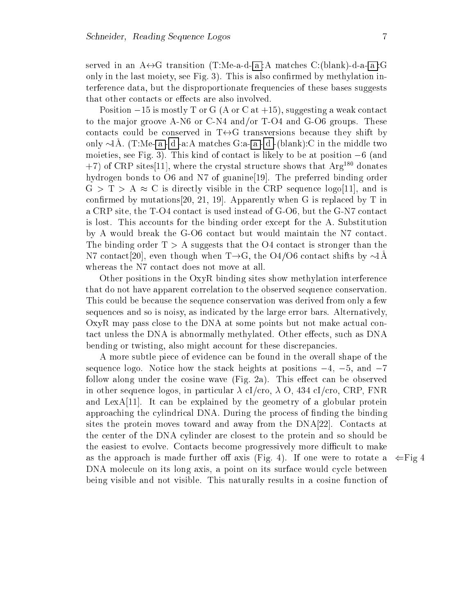served in an  $A \leftrightarrow G$  transition (T:Me-a-d- $\overline{a}$ ):A matches C:(blank)-d-a- $\overline{a}$ . G only in the last moiety, see Fig. 3). This is also confirmed by methylation interferen
e data, but the disproportionate frequen
ies of these bases suggests that other contacts or effects are also involved.

Position  $-15$  is mostly T or G (A or C at  $+15$ ), suggesting a weak contact to the major groove A-N6 or C-N4 and/or T-O4 and G-O6 groups. These contacts could be conserved in  $T \leftrightarrow G$  transversions because they shift by only  $\sim$ A. (T:Me- $\overline{a}$ - $\overline{d}$ -a:A matches G:a- $\overline{a}$ - $\overline{d}$ -(blank):C in the middle two moieties, see Fig. 3). This kind of contact is likely to be at position  $-6$  (and  $+7$ ) of CRP sites[11], where the crystal structure shows that  $\text{Arg}^{180}$  donates hydrogen bonds to  $\overline{O6}$  and N7 of guanine[19]. The preferred binding order  $G > T > A \approx C$  is directly visible in the CRP sequence logo[11], and is confirmed by mutations [20, 21, 19]. Apparently when G is replaced by T in a CRP site, the T-O4 contact is used instead of G-O6, but the G-N7 contact is lost. This accounts for the binding order except for the A. Substitution by A would break the G-O6 contact but would maintain the N7 contact. The binding order  $T > A$  suggests that the O4 contact is stronger than the N7 contact [20], even though when T $\rightarrow$ G, the O4/O6 contact shifts by  $\sim$ 1Å whereas the N7 contact does not move at all.

Other positions in the OxyR binding sites show methylation interferen
e that do not have apparent orrelation to the observed sequen
e onservation. This ould be be
ause the sequen
e onservation was derived from only a few sequences and so is noisy, as indicated by the large error bars. Alternatively, OxyR may pass close to the DNA at some points but not make actual contact unless the DNA is abnormally methylated. Other effects, such as DNA bending or twisting, also might account for these discrepancies.

A more subtle pie
e of eviden
e an be found in the overall shape of the sequence logo. Notice how the stack heights at positions  $-4$ ,  $-5$ , and  $-7$ follow along under the cosine wave  $(Fig. 2a)$ . This effect can be observed in other sequence logos, in particular  $\lambda$  cI/cro,  $\lambda$  O, 434 cI/cro, CRP, FNR and Lex $A[11]$ . It can be explained by the geometry of a globular protein approaching the cylindrical DNA. During the process of finding the binding sites the protein moves toward and away from the  $DNA[22]$ . Contacts at the enter of the DNA ylinder are losest to the protein and so should be the easiest to evolve. Contacts become progressively more difficult to make as the approach is made further off axis (Fig. 4). If one were to rotate a  $\Leftarrow$  Fig 4 DNA molecule on its long axis, a point on its surface would cycle between being visible and not visible. This naturally results in a cosine function of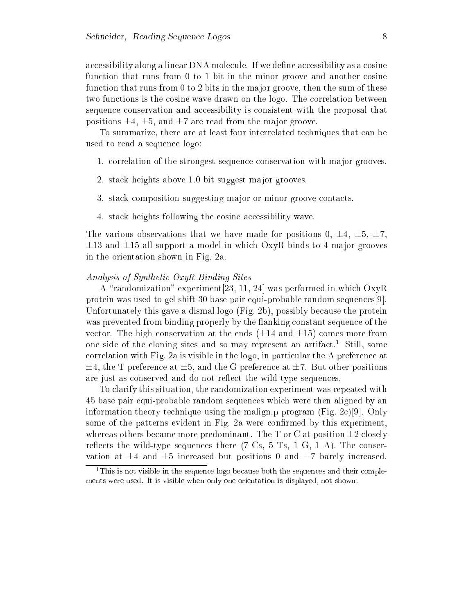accessibility along a linear DNA molecule. If we define accessibility as a cosine function that runs from 0 to 1 bit in the minor groove and another cosine function that runs from 0 to 2 bits in the major groove, then the sum of these two fun
tions is the osine wave drawn on the logo. The orrelation between sequence conservation and accessibility is consistent with the proposal that positions  $\pm 4$ ,  $\pm 5$ , and  $\pm 7$  are read from the major groove.

To summarize, there are at least four interrelated te
hniques that an be used to read a sequen
e logo:

- 1. orrelation of the strongest sequen
e onservation with major grooves.
- 2. sta
k heights above 1.0 bit suggest major grooves.
- 3. stack composition suggesting major or minor groove contacts.
- 4. stack heights following the cosine accessibility wave.

The various observations that we have made for positions  $0, \pm 4, \pm 5, \pm 7$ .  $\pm 13$  and  $\pm 15$  all support a model in which OxyR binds to 4 major grooves in the orientation shown in Fig. 2a.

# Analysis of Syntheti OxyR Binding Sites

A "randomization" experiment [23, 11, 24] was performed in which  $OxyR$ protein was used to gel shift 30 base pair equi-probable random sequences [9]. Unfortunately this gave a dismal logo (Fig. 2b), possibly because the protein was prevented from binding properly by the flanking constant sequence of the vector. The high conservation at the ends  $(\pm 14$  and  $\pm 15)$  comes more from one side of the cioning sites and so may represent an artifact. Still, some correlation with Fig. 2a is visible in the logo, in particular the A preference at  $\pm 4$ , the T preference at  $\pm 5$ , and the G preference at  $\pm 7$ . But other positions are just as conserved and do not reflect the wild-type sequences.

To larify this situation, the randomization experiment was repeated with 45 base pair equi-probable random sequen
es whi
h were then aligned by an information theory technique using the malign.p program (Fig. 2c)[9]. Only some of the patterns evident in Fig. 2a were confirmed by this experiment. whereas others became more predominant. The T or C at position  $\pm 2$  closely reflects the wild-type sequences there  $(7 \text{ Cs}, 5 \text{ Ts}, 1 \text{ G}, 1 \text{ A})$ . The conservation at  $\pm 4$  and  $\pm 5$  increased but positions 0 and  $\pm 7$  barely increased.

t his is not visible in the sequence logo because both the sequences and their complements were used. It is visible when only one orientation is displayed, not shown.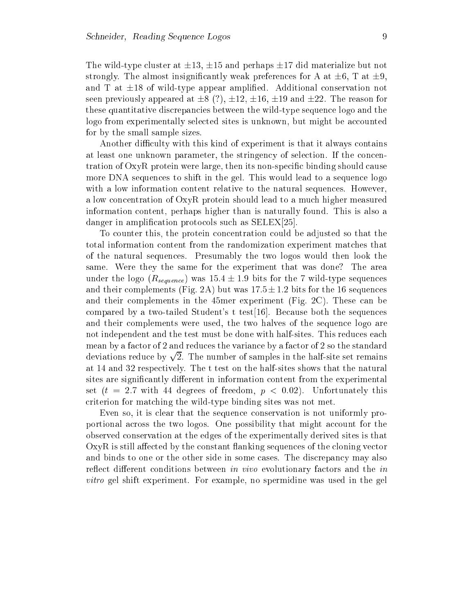The wild-type cluster at  $\pm 13$ ,  $\pm 15$  and perhaps  $\pm 17$  did materialize but not strongly. The almost insignificantly weak preferences for A at  $\pm 6$ , T at  $\pm 9$ . and  $T$  at  $\pm 18$  of wild-type appear amplified. Additional conservation not seen previously appeared at  $\pm 8$  (?),  $\pm 12$ ,  $\pm 16$ ,  $\pm 19$  and  $\pm 22$ . The reason for these quantitative dis
repan
ies between the wild-type sequen
e logo and the logo from experimentally selected sites is unknown, but might be accounted for by the small sample sizes.

Another difficulty with this kind of experiment is that it always contains at least one unknown parameter, the stringency of selection. If the concen $train$  tration of  $OxyR$  protein were large, then its non-specific binding should cause more DNA sequences to shift in the gel. This would lead to a sequence logo with a low information content relative to the natural sequences. However, a low on
entration of OxyR protein should lead to a mu
h higher measured information ontent, perhaps higher than is naturally found. This is also a danger in amplification protocols such as  $SELEX[25]$ .

To ounter this, the protein on
entration ould be adjusted so that the total information ontent from the randomization experiment mat
hes that of the natural sequen
es. Presumably the two logos would then look the same. Were they the same for the experiment that was done? The area under the logo ( $R_{sequence}$ ) was  $15.4 \pm 1.9$  bits for the 7 wild-type sequences and their complements (Fig. 2A) but was  $17.5 \pm 1.2$  bits for the 16 sequences and their omplements in the 45mer experiment (Fig. 2C). These an be compared by a two-tailed Student's  $t$  test[16]. Because both the sequences and their omplements were used, the two halves of the sequen
e logo are not independent and the test must be done with half-sites. This reduces each mean by a fa
tor of 2 and redu
es the varian
e by a fa
tor of 2 so the standard deviations redu
e by <u>participate the contract of the contract of the contract of the contract of the contract of the contract of the contract of the contract of the contract of the contract of the contract of the contract of the contract of t</u> 2. The number of samples in the half-site set remains at 14 and 32 respe
tively. The t test on the half-sites shows that the natural sites are significantly different in information content from the experimental set  $(t = 2.7 \text{ with } 44 \text{ degrees of freedom}, p < 0.02)$ . Unfortunately this riterion for mat
hing the wild-type binding sites was not met.

Even so, it is clear that the sequence conservation is not uniformly proportional across the two logos. One possibility that might account for the observed onservation at the edges of the experimentally derived sites is that  $OxyR$  is still affected by the constant flanking sequences of the cloning vector and binds to one or the other side in some cases. The discrepancy may also reflect different conditions between in vivo evolutionary factors and the in vitro gel shift experiment. For example, no spermidine was used in the gel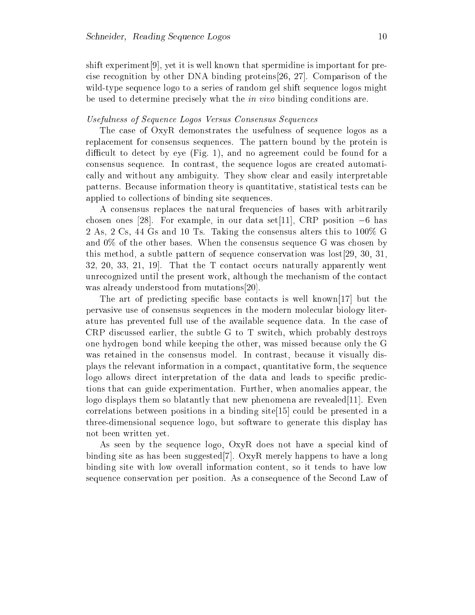shift experiment  $[9]$ , yet it is well known that spermidine is important for precise recognition by other DNA binding proteins [26, 27]. Comparison of the wild-type sequence logo to a series of random gel shift sequence logos might be used to determine precisely what the *in vivo* binding conditions are.

# Usefulness of Sequence Logos Versus Consensus Sequences

The case of OxyR demonstrates the usefulness of sequence logos as a replacement for consensus sequences. The pattern bound by the protein is difficult to detect by eye (Fig. 1), and no agreement could be found for a consensus sequence. In contrast, the sequence logos are created automatically and without any ambiguity. They show clear and easily interpretable patterns. Because information theory is quantitative, statistical tests can be applied to collections of binding site sequences.

A consensus replaces the natural frequencies of bases with arbitrarily chosen ones [28]. For example, in our data set [11], CRP position  $-6$  has 2 As, 2 Cs, 44 Gs and 10 Ts. Taking the consensus alters this to  $100\%$  G and  $0\%$  of the other bases. When the consensus sequence G was chosen by this method, a subtle pattern of sequence conservation was  $\text{lost}[29, 30, 31]$ . 32, 20, 33, 21, 19. That the T contact occurs naturally apparently went unrecognized until the present work, although the mechanism of the contact was already understood from mutations [20].

The art of predicting specific base contacts is well known [17] but the pervasive use of consensus sequences in the modern molecular biology literature has prevented full use of the available sequence data. In the case of CRP discussed earlier, the subtle G to T switch, which probably destroys one hydrogen bond while keeping the other, was missed because only the G was retained in the consensus model. In contrast, because it visually displays the relevant information in a compact, quantitative form, the sequence logo allows direct interpretation of the data and leads to specific predictions that can guide experimentation. Further, when anomalies appear, the logo displays them so blatantly that new phenomena are revealed  $[11]$ . Even correlations between positions in a binding site [15] could be presented in a three-dimensional sequence logo, but software to generate this display has not been written yet.

As seen by the sequence logo, OxyR does not have a special kind of binding site as has been suggested  $7$ . OxyR merely happens to have a long binding site with low overall information content, so it tends to have low sequence conservation per position. As a consequence of the Second Law of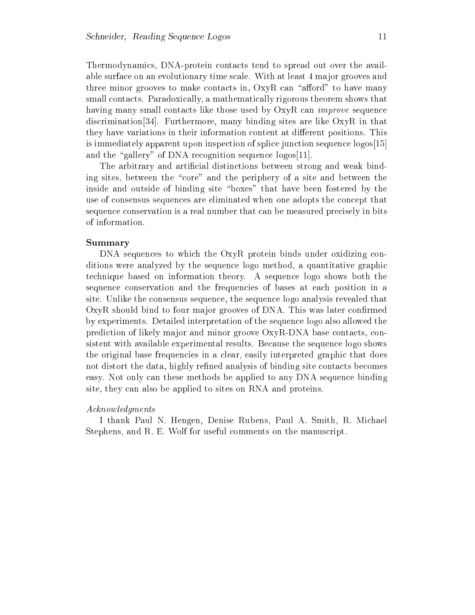Thermodynami
s, DNA-protein onta
ts tend to spread out over the available surfa
e on an evolutionary time s
ale. With at least 4 major grooves and three minor grooves to make contacts in,  $OxyR$  can "afford" to have many small contacts. Paradoxically, a mathematically rigorous theorem shows that having many small contacts like those used by OxyR can *improve* sequence  $discrimination[34]$ . Furthermore, many binding sites are like  $OxyR$  in that they have variations in their information content at different positions. This is immediately apparent upon inspection of splice junction sequence  $\log(15)$ and the "gallery" of DNA recognition sequence  $\log(11)$ .

The arbitrary and artificial distinctions between strong and weak binding sites, between the "core" and the periphery of a site and between the inside and outside of binding site "boxes" that have been fostered by the use of onsensus sequen
es are eliminated when one adopts the on
ept that sequence conservation is a real number that can be measured precisely in bits of information.

# Summary

DNA sequences to which the OxyR protein binds under oxidizing conditions were analyzed by the sequence logo method, a quantitative graphic technique based on information theory. A sequence logo shows both the sequence conservation and the frequencies of bases at each position in a site. Unlike the onsensus sequen
e, the sequen
e logo analysis revealed that  $OxyR$  should bind to four major grooves of DNA. This was later confirmed by experiments. Detailed interpretation of the sequen
e logo also allowed the prediction of likely major and minor groove OxyR-DNA base contacts, consistent with available experimental results. Be
ause the sequen
e logo shows the original base frequen
ies in a lear, easily interpreted graphi that does not distort the data, highly refined analysis of binding site contacts becomes easy. Not only an these methods be applied to any DNA sequen
e binding site, they can also be applied to sites on RNA and proteins.

# A
knowledgments

I thank Paul N. Hengen, Denise Rubens, Paul A. Smith, R. Mi
hael Stephens, and R. E. Wolf for useful comments on the manuscript.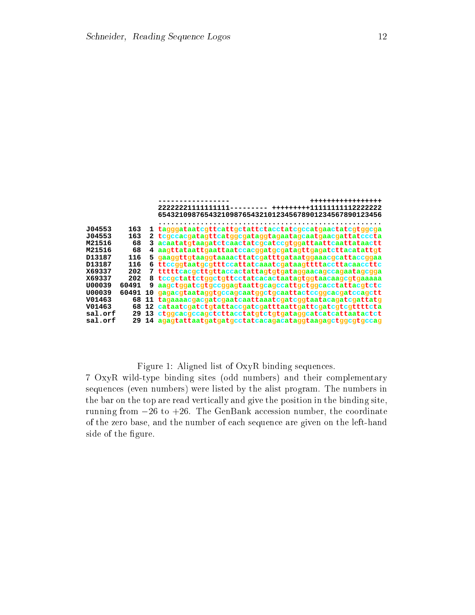|         |       |    | 22222221111111111<br>65432109876543210987654321012345678901234567890123456 | ***************** |
|---------|-------|----|----------------------------------------------------------------------------|-------------------|
|         |       |    |                                                                            |                   |
| J04553  | 163   |    | 1 tagggataategtteattgetattetaeetategeeatgaaetategtggega                    |                   |
| J04553  | 163   |    | 2 tegecacgatagttcatggcgataggtagaatagcaatgaacgattateecta                    |                   |
| M21516  | 68    |    | 3 acaatatgtaagatctcaactatcgcatccgtggattaattcaattataactt                    |                   |
| M21516  | 68    | 4  | aagttataattgaattaatccacggatgcgatagttgagatcttacatattgt                      |                   |
| D13187  | 116   |    | 5 gaaggttgtaaggtaaaacttatcgatttgataatggaaacgcattaccggaa                    |                   |
| D13187  | 116   |    | 6 ttccggtaatgcgtttccattatcaaatcgataagttttaccttacaaccttc                    |                   |
| X69337  | 202   |    | 7 tttttcacgcttgttaccactattagtgtgataggaacagccagaatagcgga                    |                   |
| X69337  | 202   |    | 8 teegetattetggetgtteetateaeaetaatagtggtaaeaagegtgaaaaa                    |                   |
| U00039  | 60491 | 9  | aagctggatcgtgccggagtaattgcagccattgctggcacctattacgtctc                      |                   |
| U00039  | 60491 | 10 | gagacgtaataggtgccagcaatggctgcaattactccggcacgatccagctt                      |                   |
| V01463  | 68    | 11 | tagaaaacgacgatcgaatcaattaaatcgatcggtaatacagatcgattatg                      |                   |
| V01463  | 68    | 12 | cataategatetgtattaeegategatttaattgattegategtegtttteta                      |                   |
| sal.orf | 29    | 13 | ctggcacgccagctcttacctatgtctgtgataggcatcatcattaatactct                      |                   |
| sal.orf |       |    | 29 14 agagtattaatgatgatgcctatcacagacataggtaagagctggcgtgccag                |                   |

Figure 1: Aligned list of OxyR binding sequen
es.

7 OxyR wild-type binding sites (odd numbers) and their omplementary sequen
es (even numbers) were listed by the alist program. The numbers in the bar on the top are read verti
ally and give the position in the binding site, running from  $-26$  to  $+26$ . The GenBank accession number, the coordinate of the zero base, and the number of ea
h sequen
e are given on the left-hand side of the figure.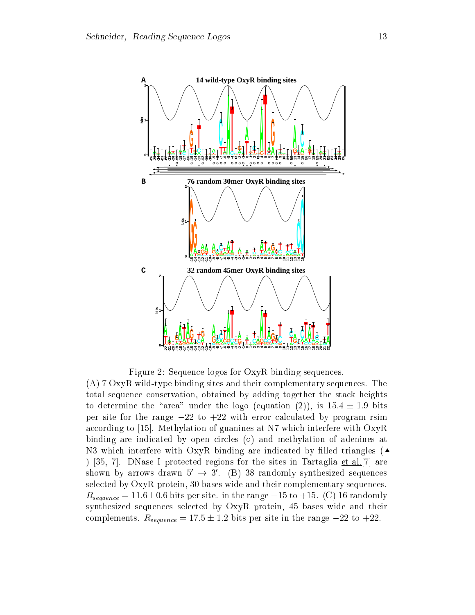

Figure 2: Sequence logos for OxyR binding sequences. (A) 7 OxyR wild-type binding sites and their omplementary sequen
es. The total sequen
e onservation, obtained by adding together the sta
k heights to determine the "area" under the logo (equation (2)), is  $15.4 \pm 1.9$  bits per site for the range  $-22$  to  $+22$  with error calculated by program rsim according to  $[15]$ . Methylation of guanines at N7 which interfere with  $OxyR$ binding are indicated by open circles  $\circ$  and methylation of adenines at N3 which interfere with OxyR binding are indicated by filled triangles ( $\triangle$ ) [35, 7]. DNase I protected regions for the sites in Tartaglia et al. [7] are shown by arrows drawn  $\vartheta \rightarrow \vartheta$ . (B)  $\vartheta$  randomly synthesized sequences selected by OxyR protein, 30 bases wide and their complementary sequences.  $R_{sequence} = 11.6 \pm 0.6$  bits per site. in the range  $-15$  to  $+15$ . (C) 16 randomly synthesized sequen
es sele
ted by OxyR protein, 45 bases wide and their complements.  $R_{sequence} = 17.5 \pm 1.2$  bits per site in the range  $-22$  to  $+22$ .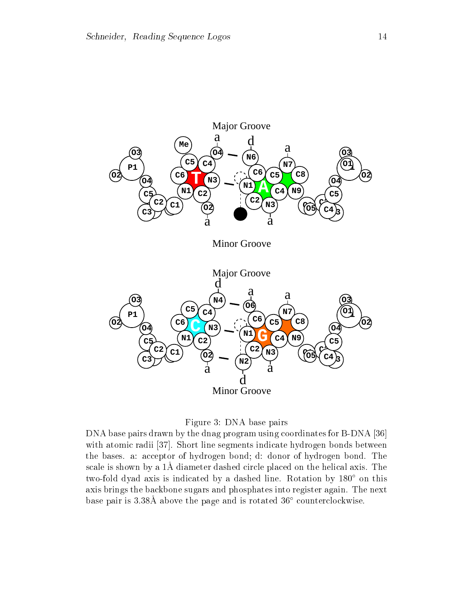



DNA base pairs drawn by the dnag program using coordinates for B-DNA [36] with atomic radii [37]. Short line segments indicate hydrogen bonds between the bases. a: acceptor of hydrogen bond; d: donor of hydrogen bond. The scale is shown by a 1Å diameter dashed circle placed on the helical axis. The two-fold dyad axis is indicated by a dashed line. Rotation by 180 Fon this axis brings the ba
kbone sugars and phosphates into register again. The next pase pair is 5.58A above the page and is rotated 36 Counterclockwise.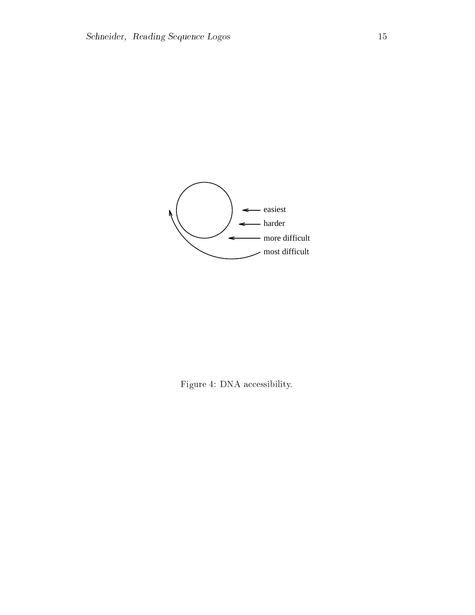

Figure 4: DNA accessibility.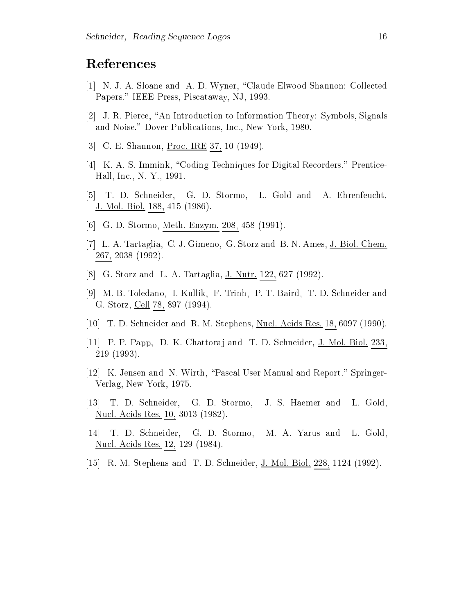# Referen
es

- [1] N. J. A. Sloane and A. D. Wyner, "Claude Elwood Shannon: Collected Papers." IEEE Press, Pis
ataway, NJ, 1993.
- [2] J. R. Pierce, "An Introduction to Information Theory: Symbols, Signals and Noise." Dover Publi
ations, In
., New York, 1980.
- [3] C. E. Shannon, Proc. IRE 37, 10  $(1949)$ .
- [4] K. A. S. Immink, "Coding Techniques for Digital Recorders." Prentice-Hall, Inc., N. Y., 1991.
- [5] T. D. Schneider, G. D. Stormo, L. Gold and A. Ehrenfeucht, J. Mol. Biol. 188, <sup>415</sup> (1986).
- [6] G. D. Stormo, Meth. Enzym. 208, 458 (1991).
- [7] L. A. Tartaglia, C. J. Gimeno, G. Storz and B. N. Ames, <u>J. Biol. Chem.</u> 267, 2038 (1992).
- [8] G. Storz and L. A. Tartaglia, <u>J. Nutr.</u> 122, 627 (1992).
- [9] M. B. Toledano, I. Kullik, F. Trinh, P. T. Baird, T. D. Schneider and G. Storz, Cell 78, <sup>897</sup> (1994).
- $[10]$  T.D. Schneider and R.M. Stephens, Nucl. Acids Res. 18, 6097 (1990).
- [11] P. P. Papp, D. K. Chattoraj and T. D. Schneider, J. Mol. Biol. 233, 219 (1993).
- [12] K. Jensen and N. Wirth, "Pascal User Manual and Report." Springer-Verlag, New York, 1975.
- [13] T. D. Schneider, G. D. Stormo, J. S. Haemer and L. Gold, Nucl. Acids Res. 10, 3013 (1982).
- [14] T. D. Schneider, G. D. Stormo, M. A. Yarus and L. Gold, Nucl. Acids Res. 12, 129 (1984).
- [15] R. M. Stephens and T. D. Schneider, J. Mol. Biol. 228, 1124 (1992).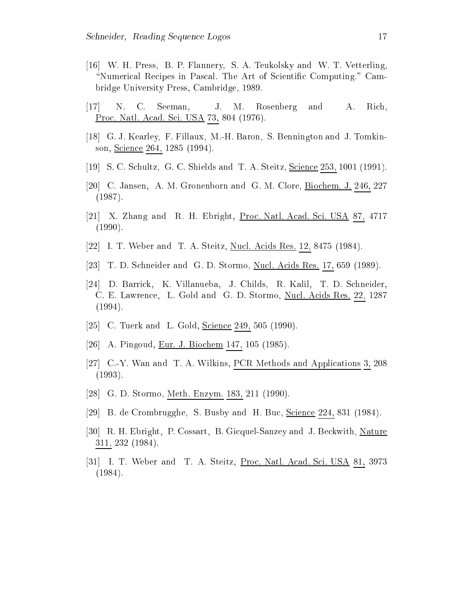- [16] W. H. Press, B. P. Flannery, S. A. Teukolsky and W. T. Vetterling, "Numerical Recipes in Pascal. The Art of Scientific Computing." Cambridge University Press, Cambridge, 1989.
- [17] N. C. Seeman, J. M. Rosenberg and A. Rich, Proc. Natl. Acad. Sci. USA 73, 804 (1976).
- [18] G. J. Kearley, F. Fillaux, M.-H. Baron, S. Bennington and J. Tomkinson, <u>Science</u> 264, 1285 (1994).
- [19] S. C. Schultz, G. C. Shields and T. A. Steitz,  $Sci$ ence 253, 1001 (1991).
- [20] C. Jansen, A. M. Gronenborn and G. M. Clore,  $\underline{\text{Biochem}}$ . J. 246, 227 (1987).
- $|21|$  X. Zhang and R. H. Ebright, <u>Proc. Natl. Acad. Sci. USA</u> 87, 4717 (1990).
- [22] I. T. Weber and T. A. Steitz, Nucl. Acids Res. 12, 8475 (1984).
- [23] T. D. Schneider and G. D. Stormo, Nucl. Acids Res. 17, 659 (1989).
- [24] D. Barrick, K. Villanueba, J. Childs, R. Kalil, T. D. Schneider C. E. Lawrence, L. Gold and G. D. Stormo, Nucl. Acids Res. 22, 1287 (1994).
- [25] C. Tuerk and L. Gold,  $\frac{\text{Science}}{\text{Science}}$  249, 505 (1990).
- [26] A. Pingoud, *Eur. J. Biochem* 147, 105 (1985).
- [27] C.-Y. Wan and T. A. Wilkins, PCR Methods and Applications 3, 208 (1993).
- [28] G. D. Stormo, Meth. Enzym. 183, 211 (1990).
- [29] B. de Crombrugghe, S. Busby and H. Buc,  $\frac{\text{Science}}{224}$ , 831 (1984).
- [30] R. H. Ebright, P. Cossart, B. Gicquel-Sanzey and J. Beckwith, Nature 311, 232 (1984).
- [31] I. T. Weber and T. A. Steitz, Proc. Natl. Acad. Sci. USA 81, 3973 (1984).